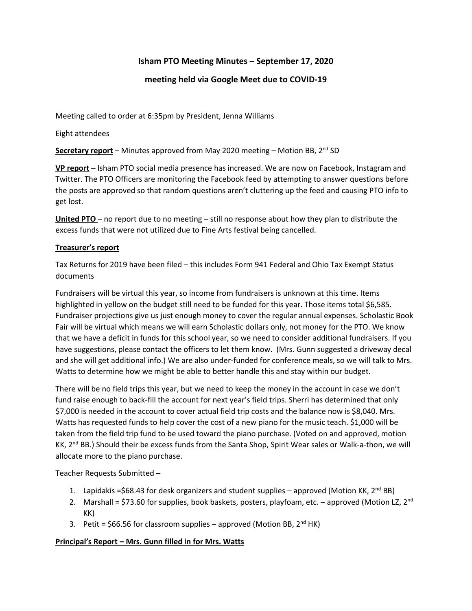# **Isham PTO Meeting Minutes – September 17, 2020**

## **meeting held via Google Meet due to COVID-19**

Meeting called to order at 6:35pm by President, Jenna Williams

Eight attendees

**Secretary report** – Minutes approved from May 2020 meeting – Motion BB, 2<sup>nd</sup> SD

**VP report** – Isham PTO social media presence has increased. We are now on Facebook, Instagram and Twitter. The PTO Officers are monitoring the Facebook feed by attempting to answer questions before the posts are approved so that random questions aren't cluttering up the feed and causing PTO info to get lost.

**United PTO** – no report due to no meeting – still no response about how they plan to distribute the excess funds that were not utilized due to Fine Arts festival being cancelled.

### **Treasurer's report**

Tax Returns for 2019 have been filed – this includes Form 941 Federal and Ohio Tax Exempt Status documents

Fundraisers will be virtual this year, so income from fundraisers is unknown at this time. Items highlighted in yellow on the budget still need to be funded for this year. Those items total \$6,585. Fundraiser projections give us just enough money to cover the regular annual expenses. Scholastic Book Fair will be virtual which means we will earn Scholastic dollars only, not money for the PTO. We know that we have a deficit in funds for this school year, so we need to consider additional fundraisers. If you have suggestions, please contact the officers to let them know. (Mrs. Gunn suggested a driveway decal and she will get additional info.) We are also under-funded for conference meals, so we will talk to Mrs. Watts to determine how we might be able to better handle this and stay within our budget.

There will be no field trips this year, but we need to keep the money in the account in case we don't fund raise enough to back-fill the account for next year's field trips. Sherri has determined that only \$7,000 is needed in the account to cover actual field trip costs and the balance now is \$8,040. Mrs. Watts has requested funds to help cover the cost of a new piano for the music teach. \$1,000 will be taken from the field trip fund to be used toward the piano purchase. (Voted on and approved, motion KK, 2<sup>nd</sup> BB.) Should their be excess funds from the Santa Shop, Spirit Wear sales or Walk-a-thon, we will allocate more to the piano purchase.

Teacher Requests Submitted –

- 1. Lapidakis = \$68.43 for desk organizers and student supplies approved (Motion KK,  $2^{nd}$  BB)
- 2. Marshall = \$73.60 for supplies, book baskets, posters, playfoam, etc. approved (Motion LZ,  $2^{nd}$ KK)
- 3. Petit =  $$66.56$  for classroom supplies approved (Motion BB,  $2^{nd}$  HK)

# **Principal's Report – Mrs. Gunn filled in for Mrs. Watts**